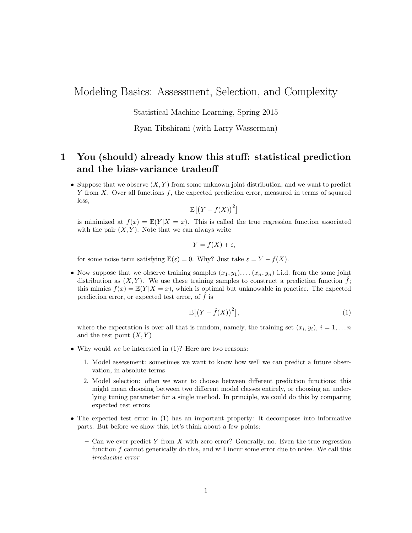Modeling Basics: Assessment, Selection, and Complexity

Statistical Machine Learning, Spring 2015

#### Ryan Tibshirani (with Larry Wasserman)

# 1 You (should) already know this stuff: statistical prediction and the bias-variance tradeoff

• Suppose that we observe  $(X, Y)$  from some unknown joint distribution, and we want to predict  $Y$  from  $X$ . Over all functions  $f$ , the expected prediction error, measured in terms of squared loss,

$$
\mathbb{E}\big[\big(Y - f(X)\big)^2\big]
$$

is minimized at  $f(x) = \mathbb{E}(Y|X=x)$ . This is called the true regression function associated with the pair  $(X, Y)$ . Note that we can always write

$$
Y = f(X) + \varepsilon,
$$

for some noise term satisfying  $\mathbb{E}(\varepsilon) = 0$ . Why? Just take  $\varepsilon = Y - f(X)$ .

• Now suppose that we observe training samples  $(x_1, y_1), \ldots (x_n, y_n)$  i.i.d. from the same joint distribution as  $(X, Y)$ . We use these training samples to construct a prediction function  $\hat{f}$ ; this mimics  $f(x) = \mathbb{E}(Y | X = x)$ , which is optimal but unknowable in practice. The expected prediction error, or expected test error, of  $\hat{f}$  is

$$
\mathbb{E}\left[\left(Y-\hat{f}(X)\right)^{2}\right],\tag{1}
$$

where the expectation is over all that is random, namely, the training set  $(x_i, y_i)$ ,  $i = 1, \ldots n$ and the test point  $(X, Y)$ 

- Why would we be interested in (1)? Here are two reasons:
	- 1. Model assessment: sometimes we want to know how well we can predict a future observation, in absolute terms
	- 2. Model selection: often we want to choose between different prediction functions; this might mean choosing between two different model classes entirely, or choosing an underlying tuning parameter for a single method. In principle, we could do this by comparing expected test errors
- The expected test error in (1) has an important property: it decomposes into informative parts. But before we show this, let's think about a few points:
	- Can we ever predict Y from X with zero error? Generally, no. Even the true regression function f cannot generically do this, and will incur some error due to noise. We call this irreducible error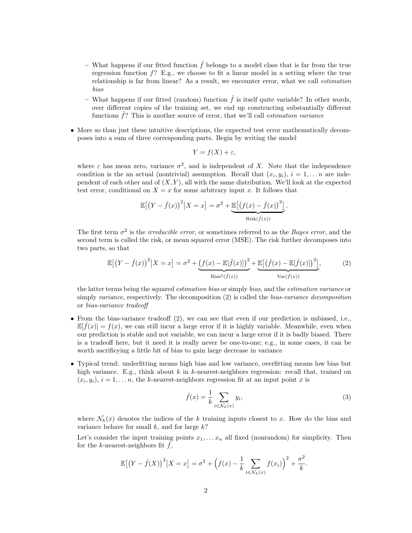- What happens if our fitted function  $\hat{f}$  belongs to a model class that is far from the true regression function  $f$ ? E.g., we choose to fit a linear model in a setting where the true relationship is far from linear? As a result, we encounter error, what we call estimation bias
- What happens if our fitted (random) function  $\hat{f}$  is itself quite variable? In other words, over different copies of the training set, we end up constructing substantially different functions  $\hat{f}$ ? This is another source of error, that we'll call *estimation variance*
- More so than just these intuitive descriptions, the expected test error mathematically decomposes into a sum of three corresponding parts. Begin by writing the model

$$
Y = f(X) + \varepsilon,
$$

where  $\varepsilon$  has mean zero, variance  $\sigma^2$ , and is independent of X. Note that the independence condition is the an actual (nontrivial) assumption. Recall that  $(x_i, y_i)$ ,  $i = 1, \ldots n$  are independent of each other and of  $(X, Y)$ , all with the same distribution. We'll look at the expected test error, conditional on  $X = x$  for some arbitrary input x. It follows that

$$
\mathbb{E}\left[\left(Y-\hat{f}(x)\right)^2 \big| X=x\right] = \sigma^2 + \underbrace{\mathbb{E}\left[\left(f(x)-\hat{f}(x)\right)^2\right]}_{\text{Risk}(\hat{f}(x))}.
$$

The first term  $\sigma^2$  is the *irreducible error*, or sometimes referred to as the *Bayes error*, and the second term is called the risk, or mean squared error (MSE). The risk further decomposes into two parts, so that

$$
\mathbb{E}\left[\left(Y-\hat{f}(x)\right)^{2}\middle|X=x\right]=\sigma^{2}+\underbrace{\left(f(x)-\mathbb{E}[\hat{f}(x)]\right)^{2}}_{\text{Bias}^{2}(\hat{f}(x))}+\underbrace{\mathbb{E}\left[\left(\hat{f}(x)-\mathbb{E}[\hat{f}(x)]\right)^{2}\right]}_{\text{Var}(\hat{f}(x))},\tag{2}
$$

the latter terms being the squared estimation bias or simply bias, and the estimation variance or simply *variance*, respectively. The decomposition (2) is called the *bias-variance decomposition* or bias-variance tradeoff

- From the bias-variance tradeoff (2), we can see that even if our prediction is unbiased, i.e.,  $\mathbb{E}[\hat{f}(x)] = f(x)$ , we can still incur a large error if it is highly variable. Meanwhile, even when our prediction is stable and not variable, we can incur a large error if it is badly biased. There is a tradeoff here, but it need it is really never be one-to-one; e.g., in some cases, it can be worth sacrificying a little bit of bias to gain large decrease in variance
- Typical trend: underfitting means high bias and low variance, overfitting means low bias but high variance. E.g., think about  $k$  in  $k$ -nearest-neighbors regression: recall that, trained on  $(x_i, y_i), i = 1, \ldots n$ , the k-nearest-neighbors regression fit at an input point x is

$$
\hat{f}(x) = \frac{1}{k} \sum_{i \in \mathcal{N}_k(x)} y_i,\tag{3}
$$

where  $\mathcal{N}_k(x)$  denotes the indices of the k training inputs closest to x. How do the bias and variance behave for small  $k$ , and for large  $k$ ?

Let's consider the input training points  $x_1, \ldots, x_n$  all fixed (nonrandom) for simplicity. Then for the k-nearest-neighbors fit  $f$ ,

$$
\mathbb{E}\big[\big(Y-\hat{f}(X)\big)^2\big|X=x\big]=\sigma^2+\Big(f(x)-\frac{1}{k}\sum_{i\in\mathcal{N}_k(x)}f(x_i)\Big)^2+\frac{\sigma^2}{k}.
$$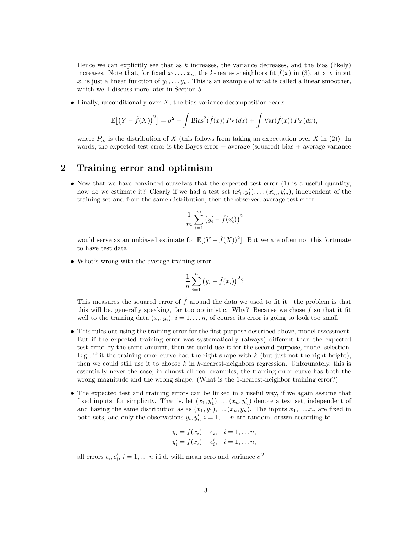Hence we can explicitly see that as  $k$  increases, the variance decreases, and the bias (likely) increases. Note that, for fixed  $x_1, \ldots, x_n$ , the k-nearest-neighbors fit  $f(x)$  in (3), at any input x, is just a linear function of  $y_1, \ldots, y_n$ . This is an example of what is called a linear smoother, which we'll discuss more later in Section 5

• Finally, unconditionally over  $X$ , the bias-variance decomposition reads

$$
\mathbb{E}\left[\left(Y-\hat{f}(X)\right)^2\right] = \sigma^2 + \int \text{Bias}^2(\hat{f}(x)) P_X(dx) + \int \text{Var}(\hat{f}(x)) P_X(dx),
$$

where  $P_X$  is the distribution of X (this follows from taking an expectation over X in (2)). In words, the expected test error is the Bayes error  $+$  average (squared) bias  $+$  average variance

# 2 Training error and optimism

• Now that we have convinced ourselves that the expected test error (1) is a useful quantity, how do we estimate it? Clearly if we had a test set  $(x'_1, y'_1), \ldots, (x'_m, y'_m)$ , independent of the training set and from the same distribution, then the observed average test error

$$
\frac{1}{m}\sum_{i=1}^m\big(y'_i-\hat{f}(x'_i)\big)^2
$$

would serve as an unbiased estimate for  $\mathbb{E}[(Y - \hat{f}(X))^2]$ . But we are often not this fortunate to have test data

• What's wrong with the average training error

$$
\frac{1}{n} \sum_{i=1}^{n} (y_i - \hat{f}(x_i))^2
$$
?

This measures the squared error of  $\hat{f}$  around the data we used to fit it—the problem is that this will be, generally speaking, far too optimistic. Why? Because we chose  $\hat{f}$  so that it fit well to the training data  $(x_i, y_i)$ ,  $i = 1, \ldots n$ , of course its error is going to look too small

- This rules out using the training error for the first purpose described above, model assessment. But if the expected training error was systematically (always) different than the expected test error by the same amount, then we could use it for the second purpose, model selection. E.g., if it the training error curve had the right shape with  $k$  (but just not the right height), then we could still use it to choose  $k$  in  $k$ -nearest-neighbors regression. Unforunately, this is essentially never the case; in almost all real examples, the training error curve has both the wrong magnitude and the wrong shape. (What is the 1-nearest-neighbor training error?)
- The expected test and training errors can be linked in a useful way, if we again assume that fixed inputs, for simplicity. That is, let  $(x_1, y_1'), \ldots (x_n, y_n')$  denote a test set, independent of and having the same distribution as as  $(x_1, y_1), \ldots (x_n, y_n)$ . The inputs  $x_1, \ldots x_n$  are fixed in both sets, and only the observations  $y_i, y'_i, i = 1, \ldots n$  are random, drawn according to

$$
y_i = f(x_i) + \epsilon_i, \quad i = 1, \dots n,
$$
  

$$
y'_i = f(x_i) + \epsilon'_i, \quad i = 1, \dots n,
$$

all errors  $\epsilon_i, \epsilon'_i, i = 1, \dots n$  i.i.d. with mean zero and variance  $\sigma^2$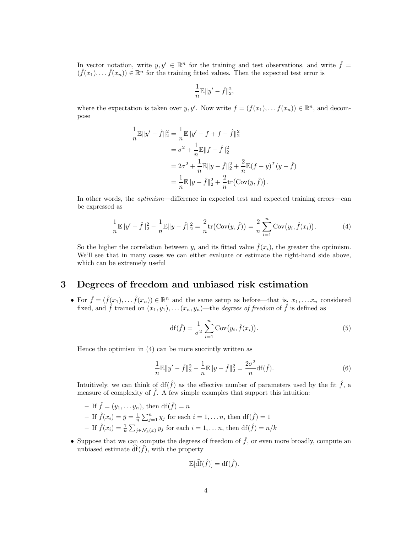In vector notation, write  $y, y' \in \mathbb{R}^n$  for the training and test observations, and write  $\hat{f} =$  $(\hat{f}(x_1), \ldots, \hat{f}(x_n)) \in \mathbb{R}^n$  for the training fitted values. Then the expected test error is

$$
\frac{1}{n}\mathbb{E}\|y'-\hat{f}\|_2^2,
$$

where the expectation is taken over y, y'. Now write  $f = (f(x_1), \ldots, f(x_n)) \in \mathbb{R}^n$ , and decompose

$$
\frac{1}{n}\mathbb{E}\|y'-\hat{f}\|_2^2 = \frac{1}{n}\mathbb{E}\|y'-f+f-\hat{f}\|_2^2
$$
  
\n
$$
= \sigma^2 + \frac{1}{n}\mathbb{E}\|f-\hat{f}\|_2^2
$$
  
\n
$$
= 2\sigma^2 + \frac{1}{n}\mathbb{E}\|y-\hat{f}\|_2^2 + \frac{2}{n}\mathbb{E}(f-y)^T(y-\hat{f})
$$
  
\n
$$
= \frac{1}{n}\mathbb{E}\|y-\hat{f}\|_2^2 + \frac{2}{n}\text{tr}(\text{Cov}(y,\hat{f})).
$$

In other words, the optimism—difference in expected test and expected training errors—can be expressed as

$$
\frac{1}{n}\mathbb{E}\|y'-\hat{f}\|_2^2 - \frac{1}{n}\mathbb{E}\|y-\hat{f}\|_2^2 = \frac{2}{n}\text{tr}\big(\text{Cov}(y,\hat{f})\big) = \frac{2}{n}\sum_{i=1}^n\text{Cov}\big(y_i,\hat{f}(x_i)\big). \tag{4}
$$

So the higher the correlation between  $y_i$  and its fitted value  $\hat{f}(x_i)$ , the greater the optimism. We'll see that in many cases we can either evaluate or estimate the right-hand side above, which can be extremely useful

# 3 Degrees of freedom and unbiased risk estimation

• For  $\hat{f} = (\hat{f}(x_1), \dots, \hat{f}(x_n)) \in \mathbb{R}^n$  and the same setup as before—that is,  $x_1, \dots, x_n$  considered fixed, and  $\hat{f}$  trained on  $(x_1, y_1), \ldots (x_n, y_n)$ —the *degrees of freedom* of  $\hat{f}$  is defined as

$$
df(\hat{f}) = \frac{1}{\sigma^2} \sum_{i=1}^{n} Cov(y_i, \hat{f}(x_i)).
$$
\n(5)

Hence the optimism in (4) can be more succintly written as

$$
\frac{1}{n}\mathbb{E}\|y'-\hat{f}\|_2^2 - \frac{1}{n}\mathbb{E}\|y-\hat{f}\|_2^2 = \frac{2\sigma^2}{n}\mathrm{df}(\hat{f}).\tag{6}
$$

Intuitively, we can think of  $df(\hat{f})$  as the effective number of parameters used by the fit  $\hat{f}$ , a measure of complexity of  $\hat{f}$ . A few simple examples that support this intuition:

- If 
$$
\hat{f} = (y_1, \dots, y_n)
$$
, then df $(\hat{f}) = n$   
\n- If  $\hat{f}(x_i) = \bar{y} = \frac{1}{n} \sum_{j=1}^n y_j$  for each  $i = 1, \dots, n$ , then df $(\hat{f}) = 1$   
\n- If  $\hat{f}(x_i) = \frac{1}{k} \sum_{j \in \mathcal{N}_k(x)} y_j$  for each  $i = 1, \dots, n$ , then df $(\hat{f}) = n/k$ 

• Suppose that we can compute the degrees of freedom of  $\hat{f}$ , or even more broadly, compute an unbiased estimate  $\hat{df}(\hat{f})$ , with the property

$$
\mathbb{E}[\widehat{\mathrm{df}}(\widehat{f})] = \mathrm{df}(\widehat{f}).
$$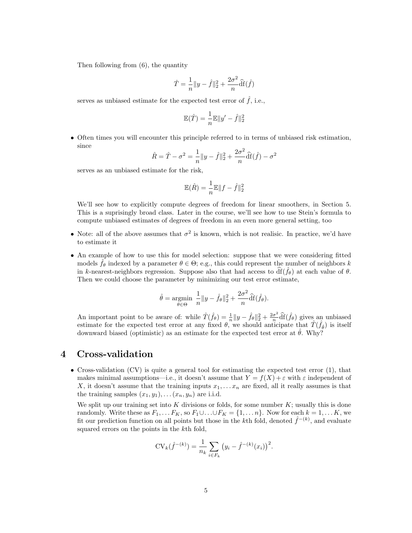Then following from (6), the quantity

$$
\hat{T} = \frac{1}{n} \|y - \hat{f}\|_2^2 + \frac{2\sigma^2}{n} \hat{\mathrm{df}}(\hat{f})
$$

serves as unbiased estimate for the expected test error of  $\hat{f}$ , i.e.,

$$
\mathbb{E}(\hat{T}) = \frac{1}{n} \mathbb{E} \|y' - \hat{f}\|_2^2
$$

• Often times you will encounter this principle referred to in terms of unbiased risk estimation, since

$$
\hat{R} = \hat{T} - \sigma^2 = \frac{1}{n} ||y - \hat{f}||_2^2 + \frac{2\sigma^2}{n} \hat{df}(\hat{f}) - \sigma^2
$$

serves as an unbiased estimate for the risk,

$$
\mathbb{E}(\hat{R}) = \frac{1}{n}\mathbb{E}\|f - \hat{f}\|_2^2
$$

We'll see how to explicitly compute degrees of freedom for linear smoothers, in Section 5. This is a suprisingly broad class. Later in the course, we'll see how to use Stein's formula to compute unbiased estimates of degrees of freedom in an even more general setting, too

- Note: all of the above assumes that  $\sigma^2$  is known, which is not realisic. In practice, we'd have to estimate it
- An example of how to use this for model selection: suppose that we were considering fitted models  $\hat{f}_{\theta}$  indexed by a parameter  $\theta \in \Theta$ ; e.g., this could represent the number of neighbors k in k-nearest-neighbors regression. Suppose also that had access to  $df(f_{\theta})$  at each value of  $\theta$ . Then we could choose the parameter by minimizing our test error estimate,

$$
\hat{\theta} = \underset{\theta \in \Theta}{\text{argmin}} \ \frac{1}{n} \|y - \hat{f}_{\theta}\|_2^2 + \frac{2\sigma^2}{n} \widehat{\mathrm{df}}(\hat{f}_{\theta}).
$$

An important point to be aware of: while  $\hat{T}(\hat{f}_{\theta}) = \frac{1}{n} ||y - \hat{f}_{\theta}||_2^2 + \frac{2\sigma^2}{n}$ An important point to be aware of: while  $\hat{T}(\hat{f}_{\theta}) = \frac{1}{n} ||y - \hat{f}_{\theta}||_2^2 + \frac{2\sigma^2}{n} \hat{df}(\hat{f}_{\theta})$  gives an unbiased estimate for the expected test error at any fixed  $\theta$ , we should anticipate that  $\hat{T}(\hat{f}_{\hat{\theta}})$ downward biased (optimistic) as an estimate for the expected test error at  $\hat{\theta}$ . Why?

# 4 Cross-validation

• Cross-validation (CV) is quite a general tool for estimating the expected test error (1), that makes minimal assumptions—i.e., it doesn't assume that  $Y = f(X) + \varepsilon$  with  $\varepsilon$  independent of X, it doesn't assume that the training inputs  $x_1, \ldots, x_n$  are fixed, all it really assumes is that the training samples  $(x_1, y_1), \ldots (x_n, y_n)$  are i.i.d.

We split up our training set into  $K$  divisions or folds, for some number  $K$ ; usually this is done randomly. Write these as  $F_1, \ldots F_K$ , so  $F_1 \cup \ldots \cup F_K = \{1, \ldots n\}$ . Now for each  $k = 1, \ldots K$ , we fit our prediction function on all points but those in the k<sup>th</sup> fold, denoted  $\hat{f}^{-(k)}$ , and evaluate squared errors on the points in the kth fold,

$$
CV_k(\hat{f}^{-(k)}) = \frac{1}{n_k} \sum_{i \in F_k} (y_i - \hat{f}^{-(k)}(x_i))^2.
$$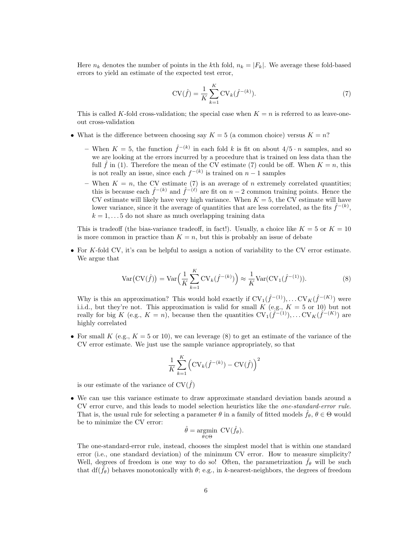Here  $n_k$  denotes the number of points in the kth fold,  $n_k = |F_k|$ . We average these fold-based errors to yield an estimate of the expected test error,

$$
CV(\hat{f}) = \frac{1}{K} \sum_{k=1}^{K} CV_k(\hat{f}^{-(k)}).
$$
 (7)

This is called K-fold cross-validation; the special case when  $K = n$  is referred to as leave-oneout cross-validation

- What is the difference between choosing say  $K = 5$  (a common choice) versus  $K = n$ ?
	- When  $K = 5$ , the function  $\hat{f}^{-(k)}$  in each fold k is fit on about  $4/5 \cdot n$  samples, and so we are looking at the errors incurred by a procedure that is trained on less data than the full  $\hat{f}$  in (1). Therefore the mean of the CV estimate (7) could be off. When  $K = n$ , this is not really an issue, since each  $f^{-(k)}$  is trained on  $n-1$  samples
	- When  $K = n$ , the CV estimate (7) is an average of n extremely correlated quantities; this is because each  $\hat{f}^{-(k)}$  and  $\hat{f}^{-(\ell)}$  are fit on  $n-2$  common training points. Hence the CV estimate will likely have very high variance. When  $K = 5$ , the CV estimate will have lower variance, since it the average of quantities that are less correlated, as the fits  $\hat{f}^{-(k)}$ ,  $k = 1, \ldots 5$  do not share as much overlapping training data

This is tradeoff (the bias-variance tradeoff, in fact!). Usually, a choice like  $K = 5$  or  $K = 10$ is more common in practice than  $K = n$ , but this is probably an issue of debate

• For K-fold CV, it's can be helpful to assign a notion of variability to the CV error estimate. We argue that

$$
Var(CV(\hat{f})) = Var\left(\frac{1}{K} \sum_{k=1}^{K} CV_k(\hat{f}^{-(k)})\right) \approx \frac{1}{K} Var(CV_1(\hat{f}^{-(1)})).
$$
\n(8)

Why is this an approximation? This would hold exactly if  $CV_1(\hat{f}^{-(1)}), \ldots CV_K(\hat{f}^{-(K)})$  were i.i.d., but they're not. This approximation is valid for small  $K$  (e.g.,  $K = 5$  or 10) but not really for big K (e.g.,  $K = n$ ), because then the quantities  $CV_1(\hat{f}^{(1)}), \ldots CV_K(\hat{f}^{(K)})$  are highly correlated

• For small K (e.g.,  $K = 5$  or 10), we can leverage (8) to get an estimate of the variance of the CV error estimate. We just use the sample variance appropriately, so that

$$
\frac{1}{K} \sum_{k=1}^{K} \left( \text{CV}_k(\hat{f}^{-(k)}) - \text{CV}(\hat{f}) \right)^2
$$

is our estimate of the variance of  $CV(\hat{f})$ 

• We can use this variance estimate to draw approximate standard deviation bands around a CV error curve, and this leads to model selection heuristics like the one-standard-error rule. That is, the usual rule for selecting a parameter  $\theta$  in a family of fitted models  $\hat{f}_{\theta}$ ,  $\theta \in \Theta$  would be to minimize the CV error:

$$
\hat{\theta} = \underset{\theta \in \Theta}{\operatorname{argmin}} \ \mathrm{CV}(\hat{f}_{\theta}).
$$

The one-standard-error rule, instead, chooses the simplest model that is within one standard error (i.e., one standard deviation) of the minimum CV error. How to measure simplicity? Well, degrees of freedom is one way to do so! Often, the parametrization  $\hat{f}_{\theta}$  will be such that  $df(\hat{f}_{\theta})$  behaves monotonically with  $\theta$ ; e.g., in k-nearest-neighbors, the degrees of freedom